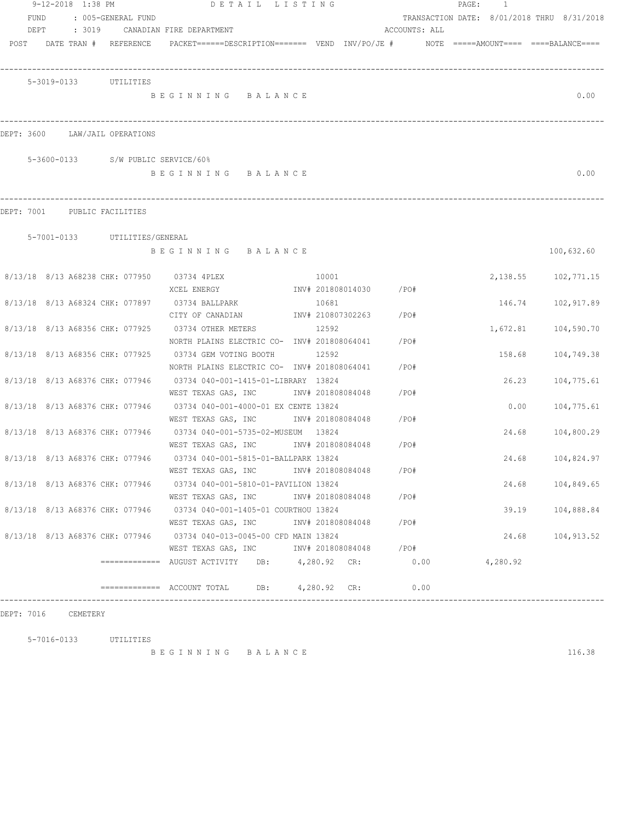|      | 9-12-2018 1:38 PM |                                    | DETAIL LISTING                                                                                                  |       |                        |      |      | PAGE: | $\overline{1}$ |                                            |
|------|-------------------|------------------------------------|-----------------------------------------------------------------------------------------------------------------|-------|------------------------|------|------|-------|----------------|--------------------------------------------|
| FUND |                   | : 005-GENERAL FUND                 |                                                                                                                 |       |                        |      |      |       |                | TRANSACTION DATE: 8/01/2018 THRU 8/31/2018 |
|      |                   |                                    | DEPT : 3019 CANADIAN FIRE DEPARTMENT                                                                            |       | ACCOUNTS: ALL          |      |      |       |                |                                            |
|      |                   |                                    | POST DATE TRAN # REFERENCE PACKET======DESCRIPTION======= VEND INV/PO/JE # NOTE =====AMOUNT==== ====BALANCE==== |       |                        |      |      |       |                |                                            |
|      |                   |                                    |                                                                                                                 |       |                        |      |      |       |                |                                            |
|      |                   |                                    |                                                                                                                 |       |                        |      |      |       |                |                                            |
|      |                   | 5-3019-0133 UTILITIES              |                                                                                                                 |       |                        |      |      |       |                |                                            |
|      |                   |                                    | BEGINNING BALANCE                                                                                               |       |                        |      |      |       |                | 0.00                                       |
|      |                   |                                    |                                                                                                                 |       |                        |      |      |       |                |                                            |
|      |                   | DEPT: 3600 LAW/JAIL OPERATIONS     |                                                                                                                 |       |                        |      |      |       |                |                                            |
|      |                   |                                    |                                                                                                                 |       |                        |      |      |       |                |                                            |
|      |                   | 5-3600-0133 S/W PUBLIC SERVICE/60% |                                                                                                                 |       |                        |      |      |       |                |                                            |
|      |                   |                                    | BEGINNING BALANCE                                                                                               |       |                        |      |      |       |                | 0.00                                       |
|      |                   |                                    |                                                                                                                 |       |                        |      |      |       |                |                                            |
|      |                   |                                    |                                                                                                                 |       |                        |      |      |       |                |                                            |
|      |                   | DEPT: 7001 PUBLIC FACILITIES       |                                                                                                                 |       |                        |      |      |       |                |                                            |
|      |                   | 5-7001-0133 UTILITIES/GENERAL      |                                                                                                                 |       |                        |      |      |       |                |                                            |
|      |                   |                                    | BEGINNING BALANCE                                                                                               |       |                        |      |      |       |                | 100,632.60                                 |
|      |                   |                                    |                                                                                                                 |       |                        |      |      |       |                |                                            |
|      |                   |                                    | 8/13/18 8/13 A68238 CHK: 077950 03734 4PLEX                                                                     | 10001 |                        |      |      |       |                | 2, 138.55 102, 771.15                      |
|      |                   |                                    | XCEL ENERGY                                                                                                     |       | INV# 201808014030 /PO# |      |      |       |                |                                            |
|      |                   |                                    | 8/13/18 8/13 A68324 CHK: 077897 03734 BALLPARK                                                                  | 10681 |                        |      |      |       | 146.74         | 102,917.89                                 |
|      |                   |                                    | CITY OF CANADIAN                                                                                                |       | INV# 210807302263 /PO# |      |      |       |                |                                            |
|      |                   | 8/13/18 8/13 A68356 CHK: 077925    | 03734 OTHER METERS                                                                                              | 12592 |                        |      |      |       | 1,672.81       | 104,590.70                                 |
|      |                   |                                    | NORTH PLAINS ELECTRIC CO- INV# 201808064041                                                                     |       |                        | /PO# |      |       |                |                                            |
|      |                   | 8/13/18 8/13 A68356 CHK: 077925    | 03734 GEM VOTING BOOTH                                                                                          | 12592 |                        |      |      |       | 158.68         | 104,749.38                                 |
|      |                   |                                    | NORTH PLAINS ELECTRIC CO- INV# 201808064041                                                                     |       |                        | /PO# |      |       |                |                                            |
|      |                   | 8/13/18 8/13 A68376 CHK: 077946    | 03734 040-001-1415-01-LIBRARY 13824                                                                             |       |                        |      |      |       | 26.23          | 104,775.61                                 |
|      |                   |                                    | WEST TEXAS GAS, INC METALL 1NV# 201808084048                                                                    |       |                        | /PO# |      |       |                |                                            |
|      |                   | 8/13/18 8/13 A68376 CHK: 077946    | 03734 040-001-4000-01 EX CENTE 13824                                                                            |       |                        |      |      |       | 0.00           | 104,775.61                                 |
|      |                   |                                    | WEST TEXAS GAS, INC MOV# 201808084048                                                                           |       |                        | /PO# |      |       |                |                                            |
|      |                   | 8/13/18 8/13 A68376 CHK: 077946    | 03734 040-001-5735-02-MUSEUM 13824                                                                              |       |                        |      |      |       | 24.68          | 104,800.29                                 |
|      |                   |                                    | WEST TEXAS GAS, INC NOT INV# 201808084048 / PO#                                                                 |       |                        |      |      |       |                |                                            |
|      |                   |                                    | 8/13/18 8/13 A68376 CHK: 077946 03734 040-001-5815-01-BALLPARK 13824                                            |       |                        |      |      |       | 24.68          | 104,824.97                                 |
|      |                   |                                    | WEST TEXAS GAS, INC MONTH 201808084048                                                                          |       |                        | /PO# |      |       |                |                                            |
|      |                   |                                    | 8/13/18 8/13 A68376 CHK: 077946 03734 040-001-5810-01-PAVILION 13824                                            |       |                        |      |      |       | 24.68          | 104,849.65                                 |
|      |                   |                                    | WEST TEXAS GAS, INC                                                                                             |       | INV# 201808084048 /PO# |      |      |       |                |                                            |
|      |                   |                                    | 8/13/18 8/13 A68376 CHK: 077946 03734 040-001-1405-01 COURTHOU 13824                                            |       |                        |      |      |       | 39.19          | 104,888.84                                 |
|      |                   |                                    | WEST TEXAS GAS, INC                                                                                             |       | INV# 201808084048      | /PO# |      |       |                |                                            |
|      |                   |                                    | 8/13/18 8/13 A68376 CHK: 077946 03734 040-013-0045-00 CFD MAIN 13824                                            |       |                        |      |      |       | 24.68          | 104,913.52                                 |
|      |                   |                                    | WEST TEXAS GAS, INC MOTH 201808084048 / PO#                                                                     |       |                        |      |      |       |                |                                            |
|      |                   |                                    |                                                                                                                 |       |                        |      | 0.00 |       | 4,280.92       |                                            |
|      |                   |                                    |                                                                                                                 |       |                        |      |      |       |                |                                            |
|      |                   |                                    | $\overline{\phantom{1}}$ ============= ACCOUNT TOTAL DB: 4,280.92 CR:                                           |       |                        | 0.00 |      |       |                |                                            |

DEPT: 7016 CEMETERY

5-7016-0133 UTILITIES

B E G I N N I N G B A L A N C E 116.38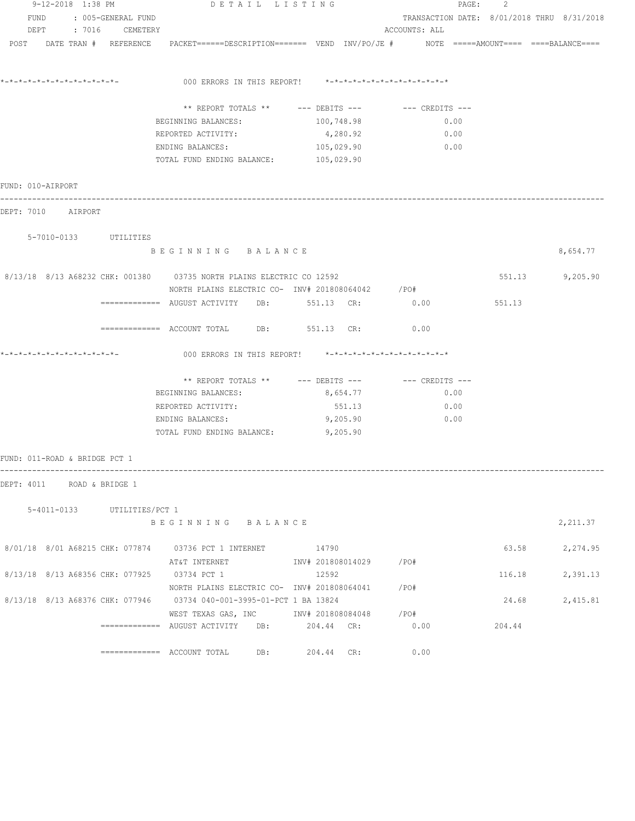| 9-12-2018 1:38 PM             |  |  |                             | DETAIL LISTING                                                                                                            |                                                      |               | PAGE: 2 |                                            |
|-------------------------------|--|--|-----------------------------|---------------------------------------------------------------------------------------------------------------------------|------------------------------------------------------|---------------|---------|--------------------------------------------|
| FUND<br>: 005-GENERAL FUND    |  |  |                             |                                                                                                                           | TRANSACTION DATE: 8/01/2018 THRU 8/31/2018           |               |         |                                            |
|                               |  |  | DEPT : 7016 CEMETERY        |                                                                                                                           |                                                      | ACCOUNTS: ALL |         |                                            |
|                               |  |  | POST DATE TRAN # REFERENCE  |                                                                                                                           |                                                      |               |         | $NOTE$ ===== $AMOUNT$ ==== ====BALANCE==== |
| *-*-*-*-*-*-*-*-*-*-*-*-*-*-  |  |  |                             | 000 ERRORS IN THIS REPORT! $*-*-*-*-*-*-*-*-*-*-*-*-*-*-**$                                                               |                                                      |               |         |                                            |
|                               |  |  |                             |                                                                                                                           | ** REPORT TOTALS ** --- DEBITS --- -- CREDITS ---    |               |         |                                            |
|                               |  |  |                             |                                                                                                                           |                                                      |               |         |                                            |
|                               |  |  |                             | BEGINNING BALANCES:<br>REPORTED ACTIVITY:                                                                                 | 100,748.98<br>4,280.92                               | 0.00<br>0.00  |         |                                            |
|                               |  |  |                             |                                                                                                                           |                                                      | 0.00          |         |                                            |
|                               |  |  |                             | ENDING BALANCES:<br>TOTAL FUND ENDING BALANCE: 105,029.90                                                                 | 105,029.90                                           |               |         |                                            |
| FUND: 010-AIRPORT             |  |  |                             |                                                                                                                           |                                                      |               |         |                                            |
| DEPT: 7010 AIRPORT            |  |  |                             |                                                                                                                           |                                                      |               |         |                                            |
|                               |  |  | 5-7010-0133 UTILITIES       |                                                                                                                           |                                                      |               |         |                                            |
|                               |  |  |                             | BEGINNING BALANCE                                                                                                         |                                                      |               |         | 8,654.77                                   |
|                               |  |  |                             | 8/13/18 8/13 A68232 CHK: 001380 03735 NORTH PLAINS ELECTRIC CO 12592<br>NORTH PLAINS ELECTRIC CO- INV# 201808064042 / PO# |                                                      |               |         | 551.13 9,205.90                            |
|                               |  |  |                             | ============= AUGUST ACTIVITY DB: 551.13 CR:                                                                              |                                                      | 0.00          | 551.13  |                                            |
|                               |  |  |                             | ------------- ACCOUNT TOTAL DB: 551.13 CR:                                                                                |                                                      | 0.00          |         |                                            |
|                               |  |  |                             | 000 ERRORS IN THIS REPORT! *-*-*-*-*-*-*-*-*-*-*-*-*-*-                                                                   |                                                      |               |         |                                            |
|                               |  |  |                             |                                                                                                                           | ** REPORT TOTALS ** --- DEBITS --- -- -- CREDITS --- |               |         |                                            |
|                               |  |  |                             | BEGINNING BALANCES:                                                                                                       | 8,654.77                                             | 0.00          |         |                                            |
|                               |  |  |                             | REPORTED ACTIVITY:                                                                                                        | 551.13                                               | 0.00          |         |                                            |
|                               |  |  |                             | ENDING BALANCES:                                                                                                          | 9,205.90                                             | 0.00          |         |                                            |
|                               |  |  |                             | TOTAL FUND ENDING BALANCE:                                                                                                | 9,205.90                                             |               |         |                                            |
| FUND: 011-ROAD & BRIDGE PCT 1 |  |  |                             |                                                                                                                           |                                                      |               |         |                                            |
| DEPT: 4011 ROAD & BRIDGE 1    |  |  |                             |                                                                                                                           |                                                      |               |         |                                            |
|                               |  |  | 5-4011-0133 UTILITIES/PCT 1 |                                                                                                                           |                                                      |               |         |                                            |
|                               |  |  |                             | BEGINNING BALANCE                                                                                                         |                                                      |               |         | 2,211.37                                   |
|                               |  |  |                             | 8/01/18 8/01 A68215 CHK: 077874 03736 PCT 1 INTERNET 14790                                                                |                                                      |               |         | 63.58 2,274.95                             |
|                               |  |  |                             |                                                                                                                           |                                                      |               |         |                                            |
|                               |  |  |                             | 8/13/18 8/13 A68356 CHK: 077925 03734 PCT 1                                                                               | 12592                                                |               | 116.18  | 2,391.13                                   |
|                               |  |  |                             | NORTH PLAINS ELECTRIC CO- INV# 201808064041 / PO#                                                                         |                                                      |               |         |                                            |
|                               |  |  |                             | 8/13/18 8/13 A68376 CHK: 077946 03734 040-001-3995-01-PCT 1 BA 13824                                                      |                                                      |               | 24.68   | 2,415.81                                   |
|                               |  |  |                             | WEST TEXAS GAS, INC        INV# 201808084048      /PO#                                                                    |                                                      |               |         |                                            |
|                               |  |  |                             | $\overline{\phantom{X}}$ ============ AUGUST ACTIVITY DB: 204.44 CR:                                                      |                                                      | 0.00          | 204.44  |                                            |
|                               |  |  |                             | $\overline{\phantom{1}}$ ============= ACCOUNT TOTAL DB: 204.44 CR:                                                       |                                                      | 0.00          |         |                                            |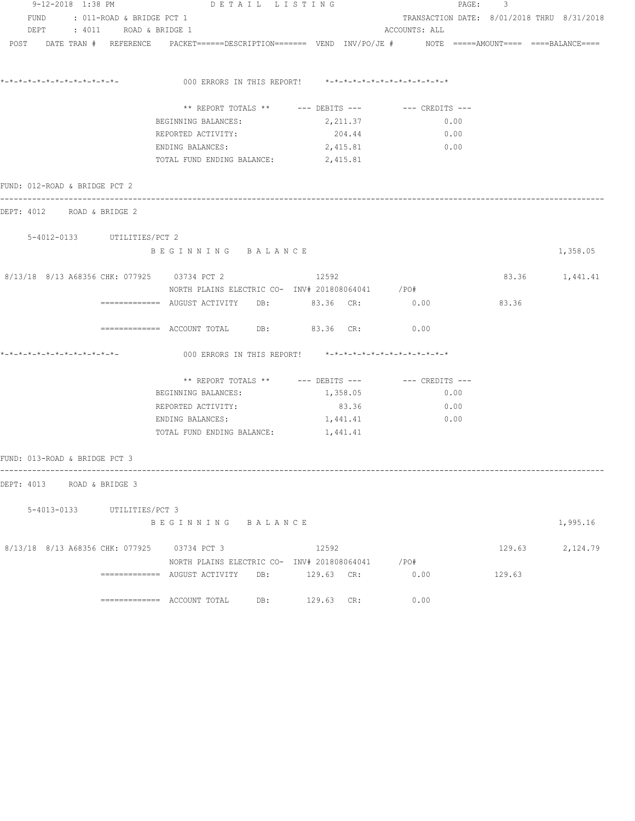| 9-12-2018 1:38 PM             |                                | DETAIL LISTING                                                                                                  |                                                         | PAGE: 3                                              |        |                 |
|-------------------------------|--------------------------------|-----------------------------------------------------------------------------------------------------------------|---------------------------------------------------------|------------------------------------------------------|--------|-----------------|
|                               | FUND : 011-ROAD & BRIDGE PCT 1 |                                                                                                                 |                                                         | TRANSACTION DATE: 8/01/2018 THRU 8/31/2018           |        |                 |
|                               | DEPT : 4011 ROAD & BRIDGE 1    |                                                                                                                 |                                                         | ACCOUNTS: ALL                                        |        |                 |
|                               |                                | POST DATE TRAN # REFERENCE PACKET======DESCRIPTION======= VEND INV/PO/JE # NOTE =====AMOUNT==== ====BALANCE==== |                                                         |                                                      |        |                 |
|                               |                                |                                                                                                                 | 000 ERRORS IN THIS REPORT! *-*-*-*-*-*-*-*-*-*-*-*-*-*- |                                                      |        |                 |
|                               |                                |                                                                                                                 |                                                         |                                                      |        |                 |
|                               |                                |                                                                                                                 |                                                         | ** REPORT TOTALS ** --- DEBITS --- -- -- CREDITS --- |        |                 |
|                               |                                | BEGINNING BALANCES:                                                                                             | 2,211.37                                                | 0.00                                                 |        |                 |
|                               |                                | REPORTED ACTIVITY:                                                                                              | 204.44                                                  | 0.00                                                 |        |                 |
|                               |                                | ENDING BALANCES:                                                                                                | 2,415.81                                                | 0.00                                                 |        |                 |
|                               |                                | TOTAL FUND ENDING BALANCE: 2,415.81                                                                             |                                                         |                                                      |        |                 |
| FUND: 012-ROAD & BRIDGE PCT 2 |                                |                                                                                                                 |                                                         |                                                      |        |                 |
| DEPT: 4012 ROAD & BRIDGE 2    |                                |                                                                                                                 |                                                         |                                                      |        |                 |
|                               | 5-4012-0133 UTILITIES/PCT 2    |                                                                                                                 |                                                         |                                                      |        |                 |
|                               |                                | BEGINNING BALANCE                                                                                               |                                                         |                                                      |        | 1,358.05        |
|                               |                                | 8/13/18 8/13 A68356 CHK: 077925 03734 PCT 2<br>NORTH PLAINS ELECTRIC CO- INV# 201808064041 /PO#                 | 12592                                                   |                                                      |        | 83.36 1,441.41  |
|                               |                                | ============ AUGUST ACTIVITY DB: 83.36 CR: 0.00                                                                 |                                                         |                                                      | 83.36  |                 |
|                               |                                | ============ ACCOUNT TOTAL DB: 83.36 CR: 0.00                                                                   |                                                         |                                                      |        |                 |
|                               |                                |                                                                                                                 | 000 ERRORS IN THIS REPORT! *-*-*-*-*-*-*-*-*-*-*-*-*-*- |                                                      |        |                 |
|                               |                                |                                                                                                                 |                                                         | ** REPORT TOTALS ** --- DEBITS --- -- -- CREDITS --- |        |                 |
|                               |                                | BEGINNING BALANCES:                                                                                             | 1,358.05                                                | 0.00                                                 |        |                 |
|                               |                                | REPORTED ACTIVITY:                                                                                              | 83.36                                                   | 0.00                                                 |        |                 |
|                               |                                | ENDING BALANCES:                                                                                                | 1,441.41                                                | 0.00                                                 |        |                 |
|                               |                                | TOTAL FUND ENDING BALANCE: 1,441.41                                                                             |                                                         |                                                      |        |                 |
| FUND: 013-ROAD & BRIDGE PCT 3 |                                |                                                                                                                 |                                                         |                                                      |        |                 |
| DEPT: 4013 ROAD & BRIDGE 3    |                                |                                                                                                                 |                                                         |                                                      |        |                 |
|                               | 5-4013-0133 UTILITIES/PCT 3    |                                                                                                                 |                                                         |                                                      |        |                 |
|                               |                                | BEGINNING BALANCE                                                                                               |                                                         |                                                      |        | 1,995.16        |
|                               |                                | 8/13/18 8/13 A68356 CHK: 077925 03734 PCT 3                                                                     | 12592                                                   |                                                      |        | 129.63 2,124.79 |
|                               |                                |                                                                                                                 | NORTH PLAINS ELECTRIC CO- INV# 201808064041 / PO#       |                                                      |        |                 |
|                               |                                | ============= AUGUST ACTIVITY DB: 129.63 CR:                                                                    |                                                         | 0.00                                                 | 129.63 |                 |
|                               |                                |                                                                                                                 | 129.63 CR:                                              | 0.00                                                 |        |                 |